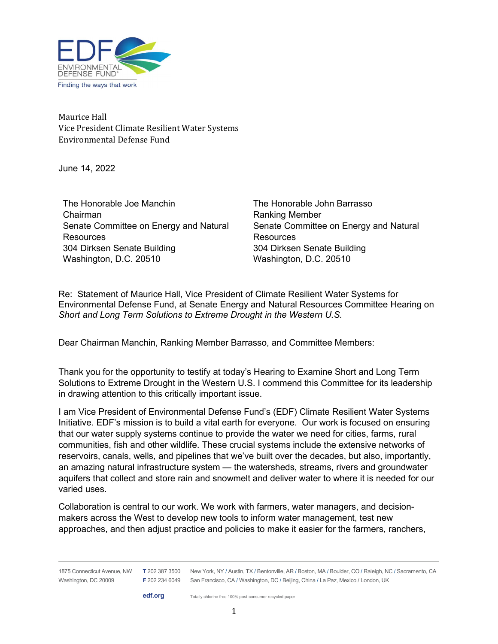

Maurice Hall Vice President Climate Resilient Water Systems Environmental Defense Fund

June 14, 2022

The Honorable Joe Manchin Chairman Senate Committee on Energy and Natural **Resources** 304 Dirksen Senate Building Washington, D.C. 20510

The Honorable John Barrasso Ranking Member Senate Committee on Energy and Natural **Resources** 304 Dirksen Senate Building Washington, D.C. 20510

Re: Statement of Maurice Hall, Vice President of Climate Resilient Water Systems for Environmental Defense Fund, at Senate Energy and Natural Resources Committee Hearing on Short and Long Term Solutions to Extreme Drought in the Western U.S.

Dear Chairman Manchin, Ranking Member Barrasso, and Committee Members:

Thank you for the opportunity to testify at today's Hearing to Examine Short and Long Term Solutions to Extreme Drought in the Western U.S. I commend this Committee for its leadership in drawing attention to this critically important issue.

I am Vice President of Environmental Defense Fund's (EDF) Climate Resilient Water Systems Initiative. EDF's mission is to build a vital earth for everyone. Our work is focused on ensuring that our water supply systems continue to provide the water we need for cities, farms, rural communities, fish and other wildlife. These crucial systems include the extensive networks of reservoirs, canals, wells, and pipelines that we've built over the decades, but also, importantly, an amazing natural infrastructure system — the watersheds, streams, rivers and groundwater aquifers that collect and store rain and snowmelt and deliver water to where it is needed for our varied uses.

Collaboration is central to our work. We work with farmers, water managers, and decisionmakers across the West to develop new tools to inform water management, test new approaches, and then adjust practice and policies to make it easier for the farmers, ranchers,

edf.org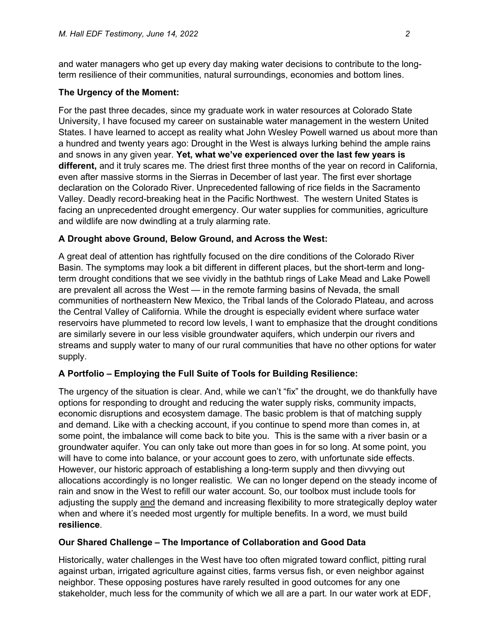and water managers who get up every day making water decisions to contribute to the longterm resilience of their communities, natural surroundings, economies and bottom lines.

### The Urgency of the Moment:

For the past three decades, since my graduate work in water resources at Colorado State University, I have focused my career on sustainable water management in the western United States. I have learned to accept as reality what John Wesley Powell warned us about more than a hundred and twenty years ago: Drought in the West is always lurking behind the ample rains and snows in any given year. Yet, what we've experienced over the last few years is different, and it truly scares me. The driest first three months of the year on record in California, even after massive storms in the Sierras in December of last year. The first ever shortage declaration on the Colorado River. Unprecedented fallowing of rice fields in the Sacramento Valley. Deadly record-breaking heat in the Pacific Northwest. The western United States is facing an unprecedented drought emergency. Our water supplies for communities, agriculture and wildlife are now dwindling at a truly alarming rate.

## A Drought above Ground, Below Ground, and Across the West:

A great deal of attention has rightfully focused on the dire conditions of the Colorado River Basin. The symptoms may look a bit different in different places, but the short-term and longterm drought conditions that we see vividly in the bathtub rings of Lake Mead and Lake Powell are prevalent all across the West — in the remote farming basins of Nevada, the small communities of northeastern New Mexico, the Tribal lands of the Colorado Plateau, and across the Central Valley of California. While the drought is especially evident where surface water reservoirs have plummeted to record low levels, I want to emphasize that the drought conditions are similarly severe in our less visible groundwater aquifers, which underpin our rivers and streams and supply water to many of our rural communities that have no other options for water supply.

# A Portfolio – Employing the Full Suite of Tools for Building Resilience:

The urgency of the situation is clear. And, while we can't "fix" the drought, we do thankfully have options for responding to drought and reducing the water supply risks, community impacts, economic disruptions and ecosystem damage. The basic problem is that of matching supply and demand. Like with a checking account, if you continue to spend more than comes in, at some point, the imbalance will come back to bite you. This is the same with a river basin or a groundwater aquifer. You can only take out more than goes in for so long. At some point, you will have to come into balance, or your account goes to zero, with unfortunate side effects. However, our historic approach of establishing a long-term supply and then divvying out allocations accordingly is no longer realistic. We can no longer depend on the steady income of rain and snow in the West to refill our water account. So, our toolbox must include tools for adjusting the supply and the demand and increasing flexibility to more strategically deploy water when and where it's needed most urgently for multiple benefits. In a word, we must build resilience.

### Our Shared Challenge – The Importance of Collaboration and Good Data

Historically, water challenges in the West have too often migrated toward conflict, pitting rural against urban, irrigated agriculture against cities, farms versus fish, or even neighbor against neighbor. These opposing postures have rarely resulted in good outcomes for any one stakeholder, much less for the community of which we all are a part. In our water work at EDF,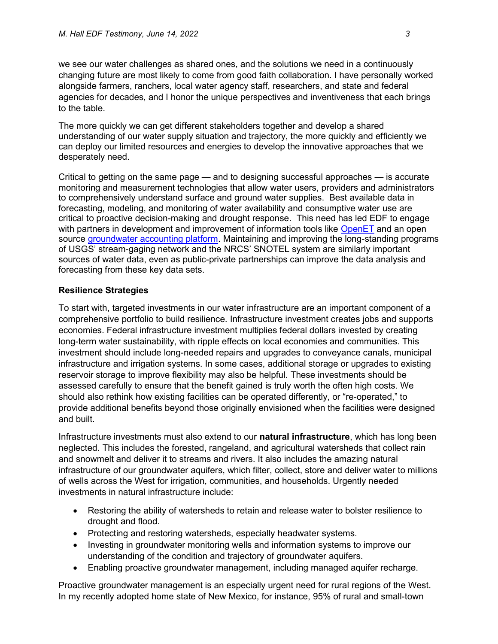we see our water challenges as shared ones, and the solutions we need in a continuously changing future are most likely to come from good faith collaboration. I have personally worked alongside farmers, ranchers, local water agency staff, researchers, and state and federal agencies for decades, and I honor the unique perspectives and inventiveness that each brings to the table.

The more quickly we can get different stakeholders together and develop a shared understanding of our water supply situation and trajectory, the more quickly and efficiently we can deploy our limited resources and energies to develop the innovative approaches that we desperately need.

Critical to getting on the same page — and to designing successful approaches — is accurate monitoring and measurement technologies that allow water users, providers and administrators to comprehensively understand surface and ground water supplies. Best available data in forecasting, modeling, and monitoring of water availability and consumptive water use are critical to proactive decision-making and drought response. This need has led EDF to engage with partners in development and improvement of information tools like OpenET and an open source groundwater accounting platform. Maintaining and improving the long-standing programs of USGS' stream-gaging network and the NRCS' SNOTEL system are similarly important sources of water data, even as public-private partnerships can improve the data analysis and forecasting from these key data sets.

### Resilience Strategies

To start with, targeted investments in our water infrastructure are an important component of a comprehensive portfolio to build resilience. Infrastructure investment creates jobs and supports economies. Federal infrastructure investment multiplies federal dollars invested by creating long-term water sustainability, with ripple effects on local economies and communities. This investment should include long-needed repairs and upgrades to conveyance canals, municipal infrastructure and irrigation systems. In some cases, additional storage or upgrades to existing reservoir storage to improve flexibility may also be helpful. These investments should be assessed carefully to ensure that the benefit gained is truly worth the often high costs. We should also rethink how existing facilities can be operated differently, or "re-operated," to provide additional benefits beyond those originally envisioned when the facilities were designed and built.

Infrastructure investments must also extend to our **natural infrastructure**, which has long been neglected. This includes the forested, rangeland, and agricultural watersheds that collect rain and snowmelt and deliver it to streams and rivers. It also includes the amazing natural infrastructure of our groundwater aquifers, which filter, collect, store and deliver water to millions of wells across the West for irrigation, communities, and households. Urgently needed investments in natural infrastructure include:

- Restoring the ability of watersheds to retain and release water to bolster resilience to drought and flood.
- Protecting and restoring watersheds, especially headwater systems.
- Investing in groundwater monitoring wells and information systems to improve our understanding of the condition and trajectory of groundwater aquifers.
- Enabling proactive groundwater management, including managed aquifer recharge.

Proactive groundwater management is an especially urgent need for rural regions of the West. In my recently adopted home state of New Mexico, for instance, 95% of rural and small-town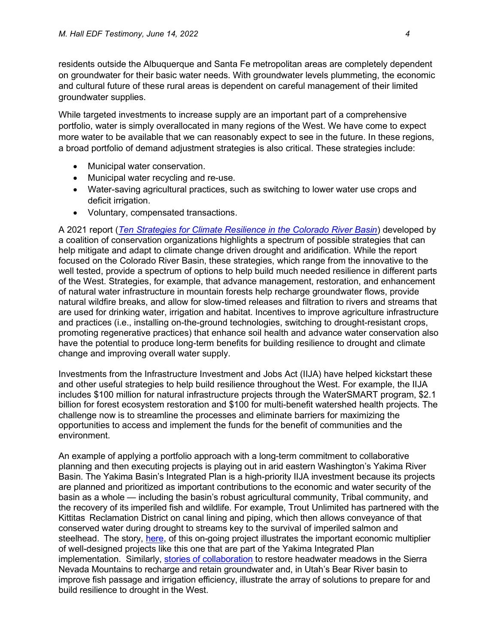residents outside the Albuquerque and Santa Fe metropolitan areas are completely dependent on groundwater for their basic water needs. With groundwater levels plummeting, the economic and cultural future of these rural areas is dependent on careful management of their limited groundwater supplies.

While targeted investments to increase supply are an important part of a comprehensive portfolio, water is simply overallocated in many regions of the West. We have come to expect more water to be available that we can reasonably expect to see in the future. In these regions, a broad portfolio of demand adjustment strategies is also critical. These strategies include:

- Municipal water conservation.
- Municipal water recycling and re-use.
- Water-saving agricultural practices, such as switching to lower water use crops and deficit irrigation.
- Voluntary, compensated transactions.

A 2021 report (Ten Strategies for Climate Resilience in the Colorado River Basin) developed by a coalition of conservation organizations highlights a spectrum of possible strategies that can help mitigate and adapt to climate change driven drought and aridification. While the report focused on the Colorado River Basin, these strategies, which range from the innovative to the well tested, provide a spectrum of options to help build much needed resilience in different parts of the West. Strategies, for example, that advance management, restoration, and enhancement of natural water infrastructure in mountain forests help recharge groundwater flows, provide natural wildfire breaks, and allow for slow-timed releases and filtration to rivers and streams that are used for drinking water, irrigation and habitat. Incentives to improve agriculture infrastructure and practices (i.e., installing on-the-ground technologies, switching to drought-resistant crops, promoting regenerative practices) that enhance soil health and advance water conservation also have the potential to produce long-term benefits for building resilience to drought and climate change and improving overall water supply.

Investments from the Infrastructure Investment and Jobs Act (IIJA) have helped kickstart these and other useful strategies to help build resilience throughout the West. For example, the IIJA includes \$100 million for natural infrastructure projects through the WaterSMART program, \$2.1 billion for forest ecosystem restoration and \$100 for multi-benefit watershed health projects. The challenge now is to streamline the processes and eliminate barriers for maximizing the opportunities to access and implement the funds for the benefit of communities and the environment.

An example of applying a portfolio approach with a long-term commitment to collaborative planning and then executing projects is playing out in arid eastern Washington's Yakima River Basin. The Yakima Basin's Integrated Plan is a high-priority IIJA investment because its projects are planned and prioritized as important contributions to the economic and water security of the basin as a whole — including the basin's robust agricultural community, Tribal community, and the recovery of its imperiled fish and wildlife. For example, Trout Unlimited has partnered with the Kittitas Reclamation District on canal lining and piping, which then allows conveyance of that conserved water during drought to streams key to the survival of imperiled salmon and steelhead. The story, here, of this on-going project illustrates the important economic multiplier of well-designed projects like this one that are part of the Yakima Integrated Plan implementation. Similarly, stories of collaboration to restore headwater meadows in the Sierra Nevada Mountains to recharge and retain groundwater and, in Utah's Bear River basin to improve fish passage and irrigation efficiency, illustrate the array of solutions to prepare for and build resilience to drought in the West.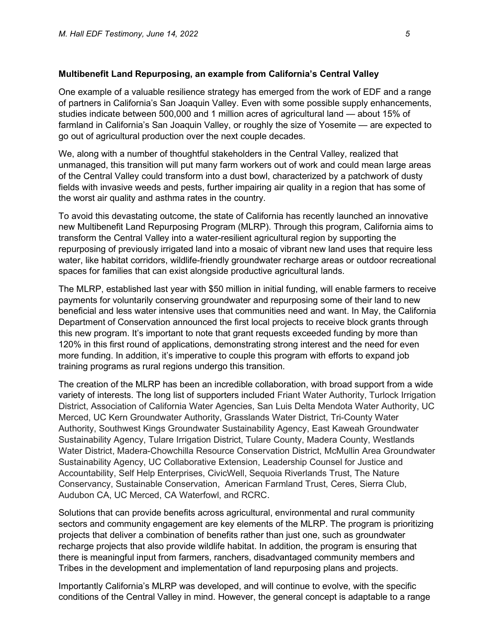#### Multibenefit Land Repurposing, an example from California's Central Valley

One example of a valuable resilience strategy has emerged from the work of EDF and a range of partners in California's San Joaquin Valley. Even with some possible supply enhancements, studies indicate between 500,000 and 1 million acres of agricultural land — about 15% of farmland in California's San Joaquin Valley, or roughly the size of Yosemite — are expected to go out of agricultural production over the next couple decades.

We, along with a number of thoughtful stakeholders in the Central Valley, realized that unmanaged, this transition will put many farm workers out of work and could mean large areas of the Central Valley could transform into a dust bowl, characterized by a patchwork of dusty fields with invasive weeds and pests, further impairing air quality in a region that has some of the worst air quality and asthma rates in the country.

To avoid this devastating outcome, the state of California has recently launched an innovative new Multibenefit Land Repurposing Program (MLRP). Through this program, California aims to transform the Central Valley into a water-resilient agricultural region by supporting the repurposing of previously irrigated land into a mosaic of vibrant new land uses that require less water, like habitat corridors, wildlife-friendly groundwater recharge areas or outdoor recreational spaces for families that can exist alongside productive agricultural lands.

The MLRP, established last year with \$50 million in initial funding, will enable farmers to receive payments for voluntarily conserving groundwater and repurposing some of their land to new beneficial and less water intensive uses that communities need and want. In May, the California Department of Conservation announced the first local projects to receive block grants through this new program. It's important to note that grant requests exceeded funding by more than 120% in this first round of applications, demonstrating strong interest and the need for even more funding. In addition, it's imperative to couple this program with efforts to expand job training programs as rural regions undergo this transition.

The creation of the MLRP has been an incredible collaboration, with broad support from a wide variety of interests. The long list of supporters included Friant Water Authority, Turlock Irrigation District, Association of California Water Agencies, San Luis Delta Mendota Water Authority, UC Merced, UC Kern Groundwater Authority, Grasslands Water District, Tri-County Water Authority, Southwest Kings Groundwater Sustainability Agency, East Kaweah Groundwater Sustainability Agency, Tulare Irrigation District, Tulare County, Madera County, Westlands Water District, Madera-Chowchilla Resource Conservation District, McMullin Area Groundwater Sustainability Agency, UC Collaborative Extension, Leadership Counsel for Justice and Accountability, Self Help Enterprises, CivicWell, Sequoia Riverlands Trust, The Nature Conservancy, Sustainable Conservation, American Farmland Trust, Ceres, Sierra Club, Audubon CA, UC Merced, CA Waterfowl, and RCRC.

Solutions that can provide benefits across agricultural, environmental and rural community sectors and community engagement are key elements of the MLRP. The program is prioritizing projects that deliver a combination of benefits rather than just one, such as groundwater recharge projects that also provide wildlife habitat. In addition, the program is ensuring that there is meaningful input from farmers, ranchers, disadvantaged community members and Tribes in the development and implementation of land repurposing plans and projects.

Importantly California's MLRP was developed, and will continue to evolve, with the specific conditions of the Central Valley in mind. However, the general concept is adaptable to a range